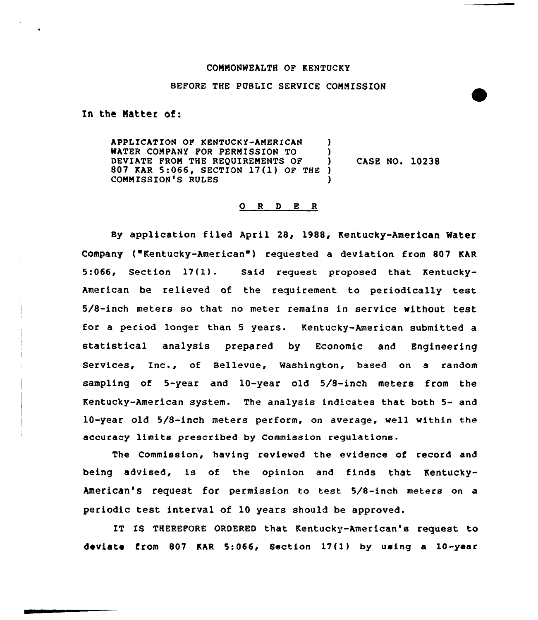## CONNONWEALTH OF KENTUCKY

## BEFORE THE PUBLIC SERVICE COMMISSION

In the Natter af:

APPLICATION OF KENTUCKY-AMERICAN (1)<br>Water Company Rob bernission to (1) WATER COMPANY FOR PERMISSION TO (a) DEVIATE FROM THE REQUIREMENTS OF 807 KAR 5:066, SECTION 17(1) OF THE )<br>COMMISSION'S RULES CONNISSION'S RULES ) CASE NO. 10238

## $O$  R D E R

By application filed April 28, 1988, Kentucky-American Water Company ("Kentucky-American") requested a deviation from 807 KAR 5:066, Section 17(1). Said request proposed that Kentucky-American be relieved of the requirement to periodically test 5/8-inch meters so that no meter remains in service without test for a period longer than 5 years. Kentucky-American submitted a statistical analysis prepared by Economic and Engineering Services, Inc., of Bellevue, Washington, based on <sup>a</sup> random sampling of 5-year and 10-year old 5/8-inch meters from the Kentucky-American system. The analysis indicates that both 5- and 10-year old 5/8-inch meters perform, on average, well within the accuracy limits prescribed by Commission regulations.

The Commission, having reviewed the evidence of record and being advised, is of the opinion and finds that Kentucky-American's request for permission to test 5/8-inch meters on a periodic test interval of 10 years should be approved.

IT IS THEREFORE ORDERED that Kentucky-American's request to deviate from 807 KAR 5:066, Section 17(1) by using a 10-year